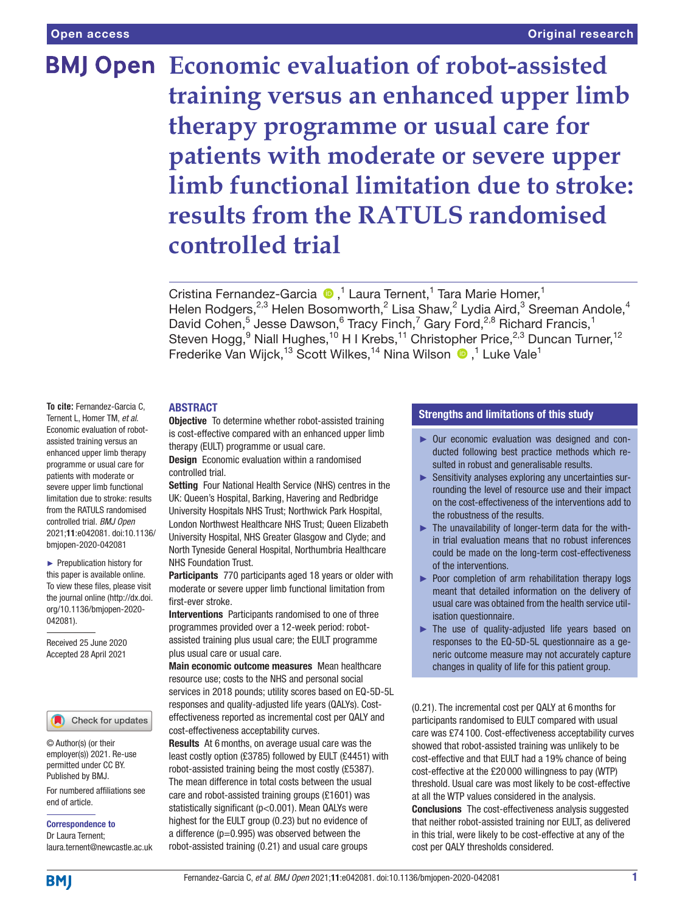# **BMJ Open Economic evaluation of robot-assisted training versus an enhanced upper limb therapy programme or usual care for patients with moderate or severe upper limb functional limitation due to stroke: results from the RATULS randomised controlled trial**

Cristina Fernandez-Garcia <sup>®</sup>,<sup>1</sup> Laura Ternent,<sup>1</sup> Tara Marie Homer,<sup>1</sup> Helen Rodgers,<sup>2,3</sup> Helen Bosomworth,<sup>2</sup> Lisa Shaw,<sup>2</sup> Lydia Aird,<sup>3</sup> Sreeman Andole,<sup>4</sup> David Cohen,<sup>5</sup> Jesse Dawson,<sup>6</sup> Tracy Finch,<sup>7</sup> Gary Ford,<sup>2,8</sup> Richard Francis,<sup>1</sup> Steven Hogg,<sup>9</sup> Niall Hughes,<sup>10</sup> H I Krebs,<sup>11</sup> Christopher Price,<sup>2,3</sup> Duncan Turner,<sup>12</sup> FrederikeVan Wijck,<sup>13</sup> Scott Wilkes,<sup>14</sup> Nina Wilson <sup>®</sup>,<sup>1</sup> Luke Vale<sup>1</sup>

# ABSTRACT

**To cite:** Fernandez-Garcia C, Ternent L, Homer TM, *et al*. Economic evaluation of robotassisted training versus an enhanced upper limb therapy programme or usual care for patients with moderate or severe upper limb functional limitation due to stroke: results from the RATULS randomised controlled trial. *BMJ Open* 2021;11:e042081. doi:10.1136/ bmjopen-2020-042081

► Prepublication history for this paper is available online. To view these files, please visit the journal online (http://dx.doi. org/10.1136/bmjopen-2020- 042081).

Received 25 June 2020 Accepted 28 April 2021

# Check for updates

© Author(s) (or their employer(s)) 2021. Re-use permitted under CC BY. Published by BMJ.

For numbered affiliations see end of article.

Correspondence to Dr Laura Ternent;

laura.ternent@newcastle.ac.uk

**Objective** To determine whether robot-assisted training is cost-effective compared with an enhanced upper limb therapy (EULT) programme or usual care.

Design Economic evaluation within a randomised controlled trial.

Setting Four National Health Service (NHS) centres in the UK: Queen's Hospital, Barking, Havering and Redbridge University Hospitals NHS Trust; Northwick Park Hospital, London Northwest Healthcare NHS Trust; Queen Elizabeth University Hospital, NHS Greater Glasgow and Clyde; and North Tyneside General Hospital, Northumbria Healthcare NHS Foundation Trust.

Participants 770 participants aged 18 years or older with moderate or severe upper limb functional limitation from first-ever stroke.

Interventions Participants randomised to one of three programmes provided over a 12-week period: robotassisted training plus usual care; the EULT programme plus usual care or usual care.

Main economic outcome measures Mean healthcare resource use; costs to the NHS and personal social services in 2018 pounds; utility scores based on EQ-5D-5L responses and quality-adjusted life years (QALYs). Costeffectiveness reported as incremental cost per QALY and cost-effectiveness acceptability curves.

Results At 6months, on average usual care was the least costly option (£3785) followed by EULT (£4451) with robot-assisted training being the most costly (£5387). The mean difference in total costs between the usual care and robot-assisted training groups (£1601) was statistically significant (p<0.001). Mean QALYs were highest for the EULT group (0.23) but no evidence of a difference  $(p=0.995)$  was observed between the robot-assisted training (0.21) and usual care groups

# Strengths and limitations of this study

- ► Our economic evaluation was designed and conducted following best practice methods which resulted in robust and generalisable results.
- ► Sensitivity analyses exploring any uncertainties surrounding the level of resource use and their impact on the cost-effectiveness of the interventions add to the robustness of the results.
- ► The unavailability of longer-term data for the within trial evaluation means that no robust inferences could be made on the long-term cost-effectiveness of the interventions.
- ► Poor completion of arm rehabilitation therapy logs meant that detailed information on the delivery of usual care was obtained from the health service utilisation questionnaire.
- ► The use of quality-adjusted life years based on responses to the EQ-5D-5L questionnaire as a generic outcome measure may not accurately capture changes in quality of life for this patient group.

(0.21). The incremental cost per QALY at 6months for participants randomised to EULT compared with usual care was £74 100. Cost-effectiveness acceptability curves showed that robot-assisted training was unlikely to be cost-effective and that EULT had a 19% chance of being cost-effective at the £20 000 willingness to pay (WTP) threshold. Usual care was most likely to be cost-effective at all the WTP values considered in the analysis. Conclusions The cost-effectiveness analysis suggested that neither robot-assisted training nor EULT, as delivered in this trial, were likely to be cost-effective at any of the cost per QALY thresholds considered.

**BMI**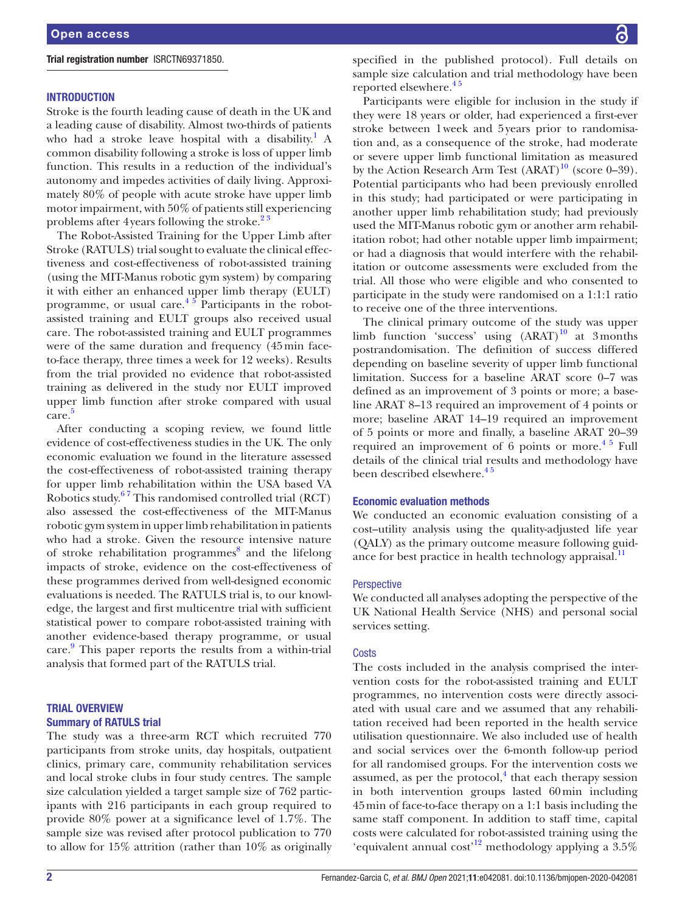# Trial registration number [ISRCTN69371850.](ISRCTN69371850)

# **INTRODUCTION**

Stroke is the fourth leading cause of death in the UK and a leading cause of disability. Almost two-thirds of patients who had a stroke leave hospital with a disability.<sup>[1](#page-10-0)</sup> A common disability following a stroke is loss of upper limb function. This results in a reduction of the individual's autonomy and impedes activities of daily living. Approximately 80% of people with acute stroke have upper limb motor impairment, with 50% of patients still experiencing problems after 4 years following the stroke. $2^3$ 

The Robot-Assisted Training for the Upper Limb after Stroke (RATULS) trial sought to evaluate the clinical effectiveness and cost-effectiveness of robot-assisted training (using the MIT-Manus robotic gym system) by comparing it with either an enhanced upper limb therapy (EULT) programme, or usual care.<sup>45</sup> Participants in the robotassisted training and EULT groups also received usual care. The robot-assisted training and EULT programmes were of the same duration and frequency (45min faceto-face therapy, three times a week for 12 weeks). Results from the trial provided no evidence that robot-assisted training as delivered in the study nor EULT improved upper limb function after stroke compared with usual care. [5](#page-10-3)

After conducting a scoping review, we found little evidence of cost-effectiveness studies in the UK. The only economic evaluation we found in the literature assessed the cost-effectiveness of robot-assisted training therapy for upper limb rehabilitation within the USA based VA Robotics study[.6 7](#page-10-4) This randomised controlled trial (RCT) also assessed the cost-effectiveness of the MIT-Manus robotic gym system in upper limb rehabilitation in patients who had a stroke. Given the resource intensive nature of stroke rehabilitation programmes<sup>[8](#page-10-5)</sup> and the lifelong impacts of stroke, evidence on the cost-effectiveness of these programmes derived from well-designed economic evaluations is needed. The RATULS trial is, to our knowledge, the largest and first multicentre trial with sufficient statistical power to compare robot-assisted training with another evidence-based therapy programme, or usual care. [9](#page-10-6) This paper reports the results from a within-trial analysis that formed part of the RATULS trial.

# TRIAL OVERVIEW Summary of RATULS trial

The study was a three-arm RCT which recruited 770 participants from stroke units, day hospitals, outpatient clinics, primary care, community rehabilitation services and local stroke clubs in four study centres. The sample size calculation yielded a target sample size of 762 participants with 216 participants in each group required to provide 80% power at a significance level of 1.7%. The sample size was revised after protocol publication to 770 to allow for 15% attrition (rather than 10% as originally specified in the published protocol). Full details on sample size calculation and trial methodology have been reported elsewhere.<sup>45</sup>

Participants were eligible for inclusion in the study if they were 18 years or older, had experienced a first-ever stroke between 1week and 5years prior to randomisation and, as a consequence of the stroke, had moderate or severe upper limb functional limitation as measured by the Action Research Arm Test  $(ARAT)^{10}$  (score 0–39). Potential participants who had been previously enrolled in this study; had participated or were participating in another upper limb rehabilitation study; had previously used the MIT-Manus robotic gym or another arm rehabilitation robot; had other notable upper limb impairment; or had a diagnosis that would interfere with the rehabilitation or outcome assessments were excluded from the trial. All those who were eligible and who consented to participate in the study were randomised on a 1:1:1 ratio to receive one of the three interventions.

The clinical primary outcome of the study was upper limb function 'success' using  $(ARAT)^{10}$  $(ARAT)^{10}$  $(ARAT)^{10}$  at 3months postrandomisation. The definition of success differed depending on baseline severity of upper limb functional limitation. Success for a baseline ARAT score 0–7 was defined as an improvement of 3 points or more; a baseline ARAT 8–13 required an improvement of 4 points or more; baseline ARAT 14–19 required an improvement of 5 points or more and finally, a baseline ARAT 20–39 required an improvement of  $6$  points or more.<sup>45</sup> Full details of the clinical trial results and methodology have been described elsewhere.<sup>45</sup>

### Economic evaluation methods

We conducted an economic evaluation consisting of a cost–utility analysis using the quality-adjusted life year (QALY) as the primary outcome measure following guidance for best practice in health technology appraisal. $<sup>11</sup>$ </sup>

# **Perspective**

We conducted all analyses adopting the perspective of the UK National Health Service (NHS) and personal social services setting.

#### **Costs**

The costs included in the analysis comprised the intervention costs for the robot-assisted training and EULT programmes, no intervention costs were directly associated with usual care and we assumed that any rehabilitation received had been reported in the health service utilisation questionnaire. We also included use of health and social services over the 6-month follow-up period for all randomised groups. For the intervention costs we assumed, as per the protocol, $4$  that each therapy session in both intervention groups lasted 60min including 45min of face-to-face therapy on a 1:1 basis including the same staff component. In addition to staff time, capital costs were calculated for robot-assisted training using the 'equivalent annual cost'<sup>12</sup> methodology applying a  $3.5\%$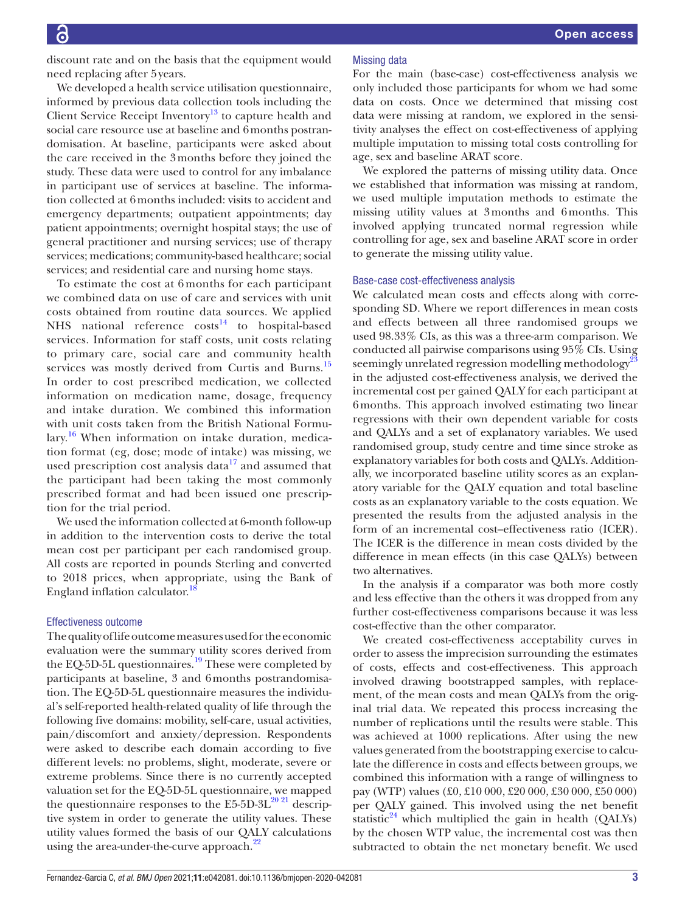discount rate and on the basis that the equipment would need replacing after 5years.

We developed a health service utilisation questionnaire, informed by previous data collection tools including the Client Service Receipt Inventory $13$  to capture health and social care resource use at baseline and 6months postrandomisation. At baseline, participants were asked about the care received in the 3months before they joined the study. These data were used to control for any imbalance in participant use of services at baseline. The information collected at 6months included: visits to accident and emergency departments; outpatient appointments; day patient appointments; overnight hospital stays; the use of general practitioner and nursing services; use of therapy services; medications; community-based healthcare; social services; and residential care and nursing home stays.

To estimate the cost at 6 months for each participant we combined data on use of care and services with unit costs obtained from routine data sources. We applied NHS national reference  $costs^{14}$  to hospital-based services. Information for staff costs, unit costs relating to primary care, social care and community health services was mostly derived from Curtis and Burns.<sup>[15](#page-10-12)</sup> In order to cost prescribed medication, we collected information on medication name, dosage, frequency and intake duration. We combined this information with unit costs taken from the British National Formu-lary.<sup>[16](#page-10-13)</sup> When information on intake duration, medication format (eg, dose; mode of intake) was missing, we used prescription cost analysis data $17$  and assumed that the participant had been taking the most commonly prescribed format and had been issued one prescription for the trial period.

We used the information collected at 6-month follow-up in addition to the intervention costs to derive the total mean cost per participant per each randomised group. All costs are reported in pounds Sterling and converted to 2018 prices, when appropriate, using the Bank of England inflation calculator.<sup>1</sup>

## Effectiveness outcome

The quality of life outcome measures used for the economic evaluation were the summary utility scores derived from the EQ-5D-5L questionnaires.<sup>19</sup> These were completed by participants at baseline, 3 and 6months postrandomisation. The EQ-5D-5L questionnaire measures the individual's self-reported health-related quality of life through the following five domains: mobility, self-care, usual activities, pain/discomfort and anxiety/depression. Respondents were asked to describe each domain according to five different levels: no problems, slight, moderate, severe or extreme problems. Since there is no currently accepted valuation set for the EQ-5D-5L questionnaire, we mapped the questionnaire responses to the  $E5-5D-3L^{20}$ <sup>21</sup> descriptive system in order to generate the utility values. These utility values formed the basis of our QALY calculations using the area-under-the-curve approach.<sup>22</sup>

#### Missing data

For the main (base-case) cost-effectiveness analysis we only included those participants for whom we had some data on costs. Once we determined that missing cost data were missing at random, we explored in the sensitivity analyses the effect on cost-effectiveness of applying multiple imputation to missing total costs controlling for age, sex and baseline ARAT score.

We explored the patterns of missing utility data. Once we established that information was missing at random, we used multiple imputation methods to estimate the missing utility values at 3months and 6months. This involved applying truncated normal regression while controlling for age, sex and baseline ARAT score in order to generate the missing utility value.

# Base-case cost-effectiveness analysis

We calculated mean costs and effects along with corresponding SD. Where we report differences in mean costs and effects between all three randomised groups we used 98.33% CIs, as this was a three-arm comparison. We conducted all pairwise comparisons using 95% CIs. Using seemingly unrelated regression modelling methodology<sup>2</sup> in the adjusted cost-effectiveness analysis, we derived the incremental cost per gained QALY for each participant at 6months. This approach involved estimating two linear regressions with their own dependent variable for costs and QALYs and a set of explanatory variables. We used randomised group, study centre and time since stroke as explanatory variables for both costs and QALYs. Additionally, we incorporated baseline utility scores as an explanatory variable for the QALY equation and total baseline costs as an explanatory variable to the costs equation. We presented the results from the adjusted analysis in the form of an incremental cost–effectiveness ratio (ICER). The ICER is the difference in mean costs divided by the difference in mean effects (in this case QALYs) between two alternatives.

In the analysis if a comparator was both more costly and less effective than the others it was dropped from any further cost-effectiveness comparisons because it was less cost-effective than the other comparator.

We created cost-effectiveness acceptability curves in order to assess the imprecision surrounding the estimates of costs, effects and cost-effectiveness. This approach involved drawing bootstrapped samples, with replacement, of the mean costs and mean QALYs from the original trial data. We repeated this process increasing the number of replications until the results were stable. This was achieved at 1000 replications. After using the new values generated from the bootstrapping exercise to calculate the difference in costs and effects between groups, we combined this information with a range of willingness to pay (WTP) values (£0, £10 000, £20 000, £30 000, £50 000) per QALY gained. This involved using the net benefit statistic<sup>24</sup> which multiplied the gain in health (QALYs) by the chosen WTP value, the incremental cost was then subtracted to obtain the net monetary benefit. We used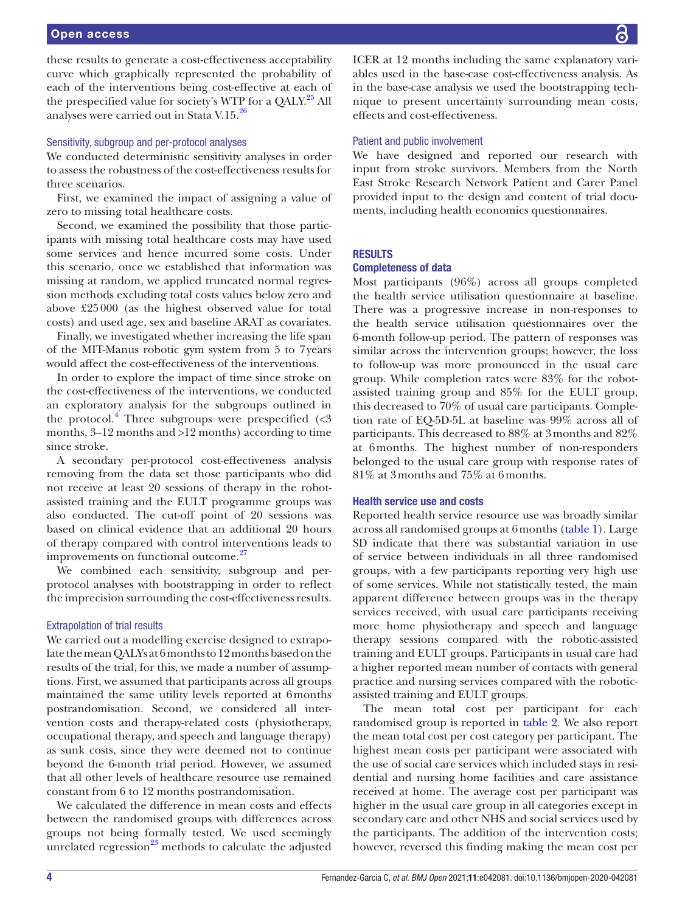these results to generate a cost-effectiveness acceptability curve which graphically represented the probability of each of the interventions being cost-effective at each of the prespecified value for society's WTP for a QALY.<sup>25</sup> All analyses were carried out in Stata V.15.[26](#page-11-6)

#### Sensitivity, subgroup and per-protocol analyses

We conducted deterministic sensitivity analyses in order to assess the robustness of the cost-effectiveness results for three scenarios.

First, we examined the impact of assigning a value of zero to missing total healthcare costs.

Second, we examined the possibility that those participants with missing total healthcare costs may have used some services and hence incurred some costs. Under this scenario, once we established that information was missing at random, we applied truncated normal regression methods excluding total costs values below zero and above £25000 (as the highest observed value for total costs) and used age, sex and baseline ARAT as covariates.

Finally, we investigated whether increasing the life span of the MIT-Manus robotic gym system from 5 to 7years would affect the cost-effectiveness of the interventions.

In order to explore the impact of time since stroke on the cost-effectiveness of the interventions, we conducted an exploratory analysis for the subgroups outlined in the protocol.<sup>[4](#page-10-2)</sup> Three subgroups were prespecified  $\langle$ <3 months, 3–12 months and >12 months) according to time since stroke.

A secondary per-protocol cost-effectiveness analysis removing from the data set those participants who did not receive at least 20 sessions of therapy in the robotassisted training and the EULT programme groups was also conducted. The cut-off point of 20 sessions was based on clinical evidence that an additional 20 hours of therapy compared with control interventions leads to improvements on functional outcome.<sup>[27](#page-11-7)</sup>

We combined each sensitivity, subgroup and perprotocol analyses with bootstrapping in order to reflect the imprecision surrounding the cost-effectiveness results.

### Extrapolation of trial results

We carried out a modelling exercise designed to extrapolate the mean QALYs at 6months to 12 months based on the results of the trial, for this, we made a number of assumptions. First, we assumed that participants across all groups maintained the same utility levels reported at 6months postrandomisation. Second, we considered all intervention costs and therapy-related costs (physiotherapy, occupational therapy, and speech and language therapy) as sunk costs, since they were deemed not to continue beyond the 6-month trial period. However, we assumed that all other levels of healthcare resource use remained constant from 6 to 12 months postrandomisation.

We calculated the difference in mean costs and effects between the randomised groups with differences across groups not being formally tested. We used seemingly unrelated regression $^{23}$  methods to calculate the adjusted

ICER at 12 months including the same explanatory variables used in the base-case cost-effectiveness analysis. As in the base-case analysis we used the bootstrapping technique to present uncertainty surrounding mean costs, effects and cost-effectiveness.

# Patient and public involvement

We have designed and reported our research with input from stroke survivors. Members from the North East Stroke Research Network Patient and Carer Panel provided input to the design and content of trial documents, including health economics questionnaires.

# **RESULTS**

# Completeness of data

Most participants (96%) across all groups completed the health service utilisation questionnaire at baseline. There was a progressive increase in non-responses to the health service utilisation questionnaires over the 6-month follow-up period. The pattern of responses was similar across the intervention groups; however, the loss to follow-up was more pronounced in the usual care group. While completion rates were 83% for the robotassisted training group and 85% for the EULT group, this decreased to 70% of usual care participants. Completion rate of EQ-5D-5L at baseline was 99% across all of participants. This decreased to 88% at 3months and 82% at 6months. The highest number of non-responders belonged to the usual care group with response rates of 81% at 3months and 75% at 6months.

# Health service use and costs

Reported health service resource use was broadly similar across all randomised groups at 6months [\(table](#page-4-0) 1). Large SD indicate that there was substantial variation in use of service between individuals in all three randomised groups, with a few participants reporting very high use of some services. While not statistically tested, the main apparent difference between groups was in the therapy services received, with usual care participants receiving more home physiotherapy and speech and language therapy sessions compared with the robotic-assisted training and EULT groups. Participants in usual care had a higher reported mean number of contacts with general practice and nursing services compared with the roboticassisted training and EULT groups.

The mean total cost per participant for each randomised group is reported in [table](#page-5-0) 2. We also report the mean total cost per cost category per participant. The highest mean costs per participant were associated with the use of social care services which included stays in residential and nursing home facilities and care assistance received at home. The average cost per participant was higher in the usual care group in all categories except in secondary care and other NHS and social services used by the participants. The addition of the intervention costs; however, reversed this finding making the mean cost per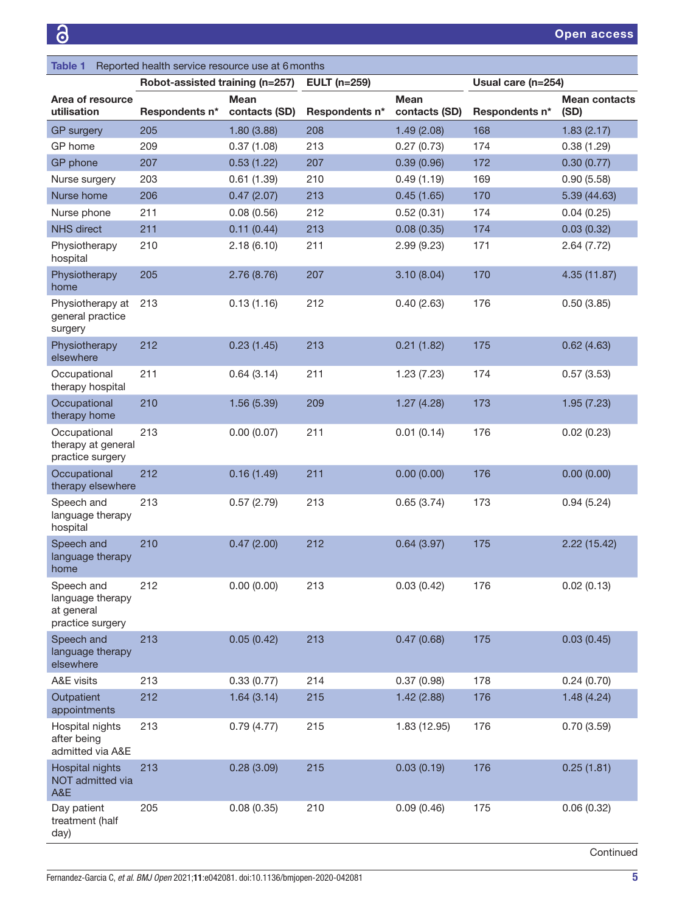<span id="page-4-0"></span>

| Table 1                                                          | Reported health service resource use at 6 months |                              |                     |                              |                    |                              |  |
|------------------------------------------------------------------|--------------------------------------------------|------------------------------|---------------------|------------------------------|--------------------|------------------------------|--|
|                                                                  | Robot-assisted training (n=257)                  |                              | <b>EULT</b> (n=259) |                              | Usual care (n=254) |                              |  |
| Area of resource<br>utilisation                                  | Respondents n*                                   | <b>Mean</b><br>contacts (SD) | Respondents n*      | <b>Mean</b><br>contacts (SD) | Respondents n*     | <b>Mean contacts</b><br>(SD) |  |
| <b>GP</b> surgery                                                | 205                                              | 1.80(3.88)                   | 208                 | 1.49(2.08)                   | 168                | 1.83(2.17)                   |  |
| GP home                                                          | 209                                              | 0.37(1.08)                   | 213                 | 0.27(0.73)                   | 174                | 0.38(1.29)                   |  |
| GP phone                                                         | 207                                              | 0.53(1.22)                   | 207                 | 0.39(0.96)                   | 172                | 0.30(0.77)                   |  |
| Nurse surgery                                                    | 203                                              | 0.61(1.39)                   | 210                 | 0.49(1.19)                   | 169                | 0.90(5.58)                   |  |
| Nurse home                                                       | 206                                              | 0.47(2.07)                   | 213                 | 0.45(1.65)                   | 170                | 5.39 (44.63)                 |  |
| Nurse phone                                                      | 211                                              | 0.08(0.56)                   | 212                 | 0.52(0.31)                   | 174                | 0.04(0.25)                   |  |
| <b>NHS</b> direct                                                | 211                                              | 0.11(0.44)                   | 213                 | 0.08(0.35)                   | 174                | 0.03(0.32)                   |  |
| Physiotherapy<br>hospital                                        | 210                                              | 2.18(6.10)                   | 211                 | 2.99(9.23)                   | 171                | 2.64(7.72)                   |  |
| Physiotherapy<br>home                                            | 205                                              | 2.76(8.76)                   | 207                 | 3.10(8.04)                   | 170                | 4.35 (11.87)                 |  |
| Physiotherapy at<br>general practice<br>surgery                  | 213                                              | 0.13(1.16)                   | 212                 | 0.40(2.63)                   | 176                | 0.50(3.85)                   |  |
| Physiotherapy<br>elsewhere                                       | 212                                              | 0.23(1.45)                   | 213                 | 0.21(1.82)                   | 175                | 0.62(4.63)                   |  |
| Occupational<br>therapy hospital                                 | 211                                              | 0.64(3.14)                   | 211                 | 1.23(7.23)                   | 174                | 0.57(3.53)                   |  |
| Occupational<br>therapy home                                     | 210                                              | 1.56(5.39)                   | 209                 | 1.27(4.28)                   | 173                | 1.95(7.23)                   |  |
| Occupational<br>therapy at general<br>practice surgery           | 213                                              | 0.00(0.07)                   | 211                 | 0.01(0.14)                   | 176                | 0.02(0.23)                   |  |
| Occupational<br>therapy elsewhere                                | 212                                              | 0.16(1.49)                   | 211                 | 0.00(0.00)                   | 176                | 0.00(0.00)                   |  |
| Speech and<br>language therapy<br>hospital                       | 213                                              | 0.57(2.79)                   | 213                 | 0.65(3.74)                   | 173                | 0.94(5.24)                   |  |
| Speech and<br>language therapy<br>home                           | 210                                              | 0.47(2.00)                   | 212                 | 0.64(3.97)                   | 175                | 2.22(15.42)                  |  |
| Speech and<br>language therapy<br>at general<br>practice surgery | 212                                              | 0.00(0.00)                   | 213                 | 0.03(0.42)                   | 176                | 0.02(0.13)                   |  |
| Speech and<br>language therapy<br>elsewhere                      | 213                                              | 0.05(0.42)                   | 213                 | 0.47(0.68)                   | 175                | 0.03(0.45)                   |  |
| A&E visits                                                       | 213                                              | 0.33(0.77)                   | 214                 | 0.37(0.98)                   | 178                | 0.24(0.70)                   |  |
| Outpatient<br>appointments                                       | 212                                              | 1.64(3.14)                   | 215                 | 1.42(2.88)                   | 176                | 1.48(4.24)                   |  |
| Hospital nights<br>after being<br>admitted via A&E               | 213                                              | 0.79(4.77)                   | 215                 | 1.83 (12.95)                 | 176                | 0.70(3.59)                   |  |
| Hospital nights<br>NOT admitted via<br>A&E                       | 213                                              | 0.28(3.09)                   | 215                 | 0.03(0.19)                   | 176                | 0.25(1.81)                   |  |
| Day patient<br>treatment (half<br>day)                           | 205                                              | 0.08(0.35)                   | 210                 | 0.09(0.46)                   | 175                | 0.06(0.32)                   |  |
|                                                                  |                                                  |                              |                     |                              |                    |                              |  |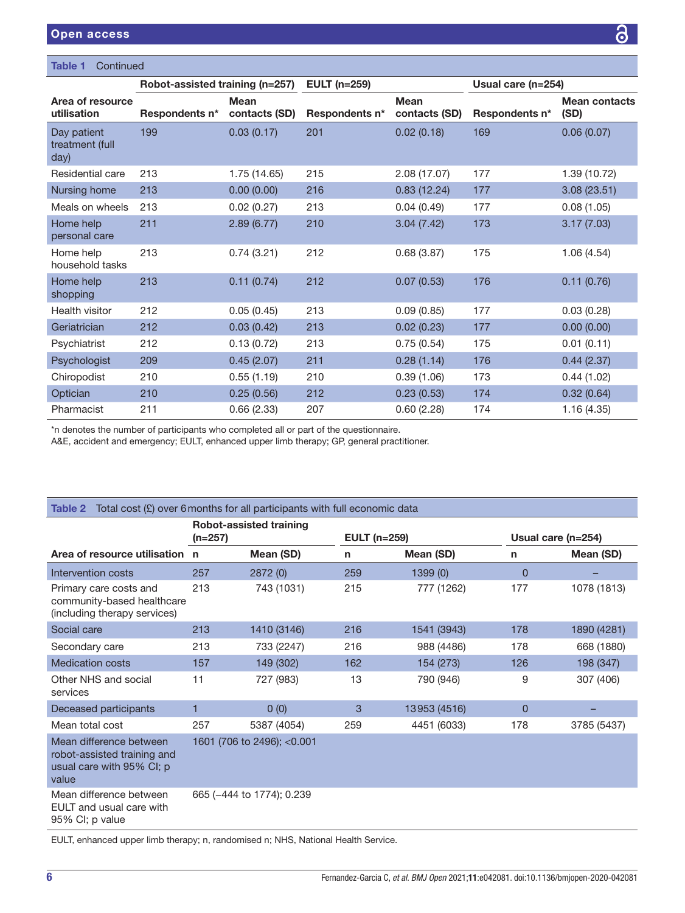| <b>Table 1</b><br>Continued            |                                 |                              |                     |                              |                    |                              |  |
|----------------------------------------|---------------------------------|------------------------------|---------------------|------------------------------|--------------------|------------------------------|--|
|                                        | Robot-assisted training (n=257) |                              | <b>EULT</b> (n=259) |                              | Usual care (n=254) |                              |  |
| Area of resource<br>utilisation        | Respondents n*                  | <b>Mean</b><br>contacts (SD) | Respondents n*      | <b>Mean</b><br>contacts (SD) | Respondents n*     | <b>Mean contacts</b><br>(SD) |  |
| Day patient<br>treatment (full<br>day) | 199                             | 0.03(0.17)                   | 201                 | 0.02(0.18)                   | 169                | 0.06(0.07)                   |  |
| Residential care                       | 213                             | 1.75 (14.65)                 | 215                 | 2.08(17.07)                  | 177                | 1.39 (10.72)                 |  |
| Nursing home                           | 213                             | 0.00(0.00)                   | 216                 | 0.83(12.24)                  | 177                | 3.08(23.51)                  |  |
| Meals on wheels                        | 213                             | 0.02(0.27)                   | 213                 | 0.04(0.49)                   | 177                | 0.08(1.05)                   |  |
| Home help<br>personal care             | 211                             | 2.89(6.77)                   | 210                 | 3.04(7.42)                   | 173                | 3.17(7.03)                   |  |
| Home help<br>household tasks           | 213                             | 0.74(3.21)                   | 212                 | 0.68(3.87)                   | 175                | 1.06(4.54)                   |  |
| Home help<br>shopping                  | 213                             | 0.11(0.74)                   | 212                 | 0.07(0.53)                   | 176                | 0.11(0.76)                   |  |
| Health visitor                         | 212                             | 0.05(0.45)                   | 213                 | 0.09(0.85)                   | 177                | 0.03(0.28)                   |  |
| Geriatrician                           | 212                             | 0.03(0.42)                   | 213                 | 0.02(0.23)                   | 177                | 0.00(0.00)                   |  |
| Psychiatrist                           | 212                             | 0.13(0.72)                   | 213                 | 0.75(0.54)                   | 175                | 0.01(0.11)                   |  |
| Psychologist                           | 209                             | 0.45(2.07)                   | 211                 | 0.28(1.14)                   | 176                | 0.44(2.37)                   |  |
| Chiropodist                            | 210                             | 0.55(1.19)                   | 210                 | 0.39(1.06)                   | 173                | 0.44(1.02)                   |  |
| Optician                               | 210                             | 0.25(0.56)                   | 212                 | 0.23(0.53)                   | 174                | 0.32(0.64)                   |  |
| Pharmacist                             | 211                             | 0.66(2.33)                   | 207                 | 0.60(2.28)                   | 174                | 1.16(4.35)                   |  |

\*n denotes the number of participants who completed all or part of the questionnaire.

A&E, accident and emergency; EULT, enhanced upper limb therapy; GP, general practitioner.

<span id="page-5-0"></span>

| Total cost $(E)$ over 6 months for all participants with full economic data<br>Table 2       |                                             |                             |                     |              |                    |             |  |
|----------------------------------------------------------------------------------------------|---------------------------------------------|-----------------------------|---------------------|--------------|--------------------|-------------|--|
|                                                                                              | <b>Robot-assisted training</b><br>$(n=257)$ |                             | <b>EULT</b> (n=259) |              | Usual care (n=254) |             |  |
| Area of resource utilisation n                                                               |                                             | Mean (SD)                   | $\mathsf{n}$        | Mean (SD)    | n                  | Mean (SD)   |  |
| Intervention costs                                                                           | 257                                         | 2872 (0)                    | 259                 | 1399(0)      | $\Omega$           |             |  |
| Primary care costs and<br>community-based healthcare<br>(including therapy services)         | 213                                         | 743 (1031)                  | 215                 | 777 (1262)   | 177                | 1078 (1813) |  |
| Social care                                                                                  | 213                                         | 1410 (3146)                 | 216                 | 1541 (3943)  | 178                | 1890 (4281) |  |
| Secondary care                                                                               | 213                                         | 733 (2247)                  | 216                 | 988 (4486)   | 178                | 668 (1880)  |  |
| <b>Medication costs</b>                                                                      | 157                                         | 149 (302)                   | 162                 | 154 (273)    | 126                | 198 (347)   |  |
| Other NHS and social<br>services                                                             | 11                                          | 727 (983)                   | 13                  | 790 (946)    | 9                  | 307 (406)   |  |
| Deceased participants                                                                        | 1                                           | 0(0)                        | 3                   | 13953 (4516) | $\Omega$           |             |  |
| Mean total cost                                                                              | 257                                         | 5387 (4054)                 | 259                 | 4451 (6033)  | 178                | 3785 (5437) |  |
| Mean difference between<br>robot-assisted training and<br>usual care with 95% CI; p<br>value |                                             | 1601 (706 to 2496); < 0.001 |                     |              |                    |             |  |
| Mean difference between<br>EULT and usual care with<br>95% CI; p value                       |                                             | 665 (-444 to 1774); 0.239   |                     |              |                    |             |  |
| .                                                                                            |                                             |                             | $\cdots$            |              |                    |             |  |

EULT, enhanced upper limb therapy; n, randomised n; NHS, National Health Service.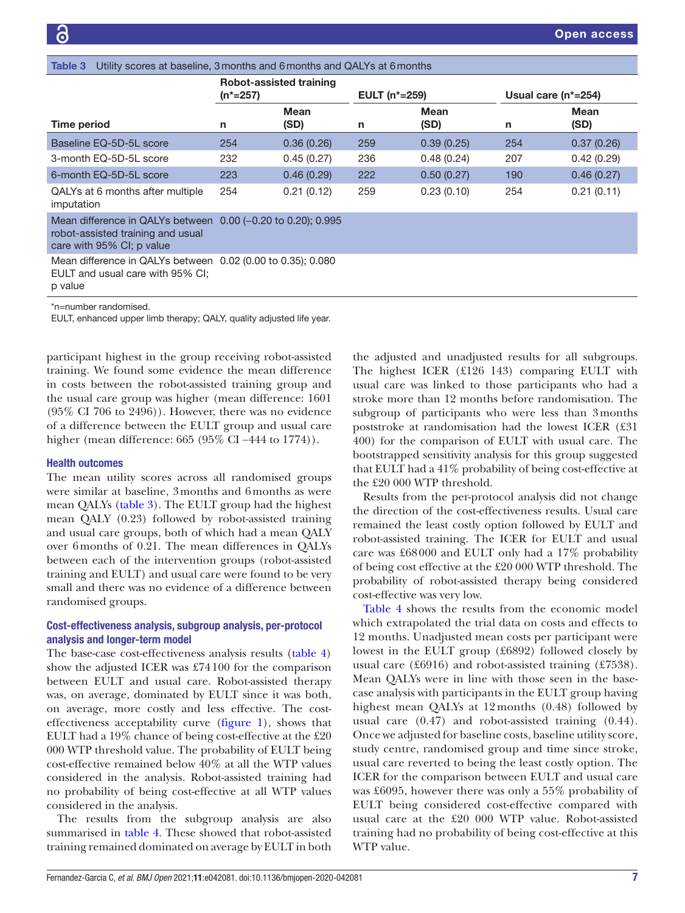<span id="page-6-0"></span>

| Utility scores at baseline, 3 months and 6 months and QALYs at 6 months<br>Table 3                         |                                                 |                               |                            |                     |                        |              |
|------------------------------------------------------------------------------------------------------------|-------------------------------------------------|-------------------------------|----------------------------|---------------------|------------------------|--------------|
|                                                                                                            | <b>Robot-assisted training</b><br>$(n^* = 257)$ |                               | EULT (n <sup>*</sup> =259) |                     | Usual care $(n^*=254)$ |              |
| <b>Time period</b>                                                                                         | n                                               | Mean<br>(SD)                  | n                          | <b>Mean</b><br>(SD) | n                      | Mean<br>(SD) |
| Baseline EQ-5D-5L score                                                                                    | 254                                             | 0.36(0.26)                    | 259                        | 0.39(0.25)          | 254                    | 0.37(0.26)   |
| 3-month EQ-5D-5L score                                                                                     | 232                                             | 0.45(0.27)                    | 236                        | 0.48(0.24)          | 207                    | 0.42(0.29)   |
| 6-month EQ-5D-5L score                                                                                     | 223                                             | 0.46(0.29)                    | 222                        | 0.50(0.27)          | 190                    | 0.46(0.27)   |
| QALYs at 6 months after multiple<br>imputation                                                             | 254                                             | 0.21(0.12)                    | 259                        | 0.23(0.10)          | 254                    | 0.21(0.11)   |
| Mean difference in QALYs between<br>robot-assisted training and usual<br>care with 95% CI; p value         |                                                 | $0.00$ (-0.20 to 0.20); 0.995 |                            |                     |                        |              |
| Mean difference in QALYs between 0.02 (0.00 to 0.35); 0.080<br>EULT and usual care with 95% CI;<br>p value |                                                 |                               |                            |                     |                        |              |
| *n=number randomised.<br>EULT, enhanced upper limb therapy; QALY, quality adjusted life year.              |                                                 |                               |                            |                     |                        |              |

participant highest in the group receiving robot-assisted training. We found some evidence the mean difference in costs between the robot-assisted training group and the usual care group was higher (mean difference: 1601 (95% CI 706 to 2496)). However, there was no evidence of a difference between the EULT group and usual care higher (mean difference: 665 (95% CI −444 to 1774)).

### Health outcomes

The mean utility scores across all randomised groups were similar at baseline, 3months and 6months as were mean QALYs [\(table](#page-6-0) 3). The EULT group had the highest mean QALY (0.23) followed by robot-assisted training and usual care groups, both of which had a mean QALY over 6months of 0.21. The mean differences in QALYs between each of the intervention groups (robot-assisted training and EULT) and usual care were found to be very small and there was no evidence of a difference between randomised groups.

# Cost-effectiveness analysis, subgroup analysis, per-protocol analysis and longer-term model

The base-case cost-effectiveness analysis results ([table](#page-7-0) 4) show the adjusted ICER was £74100 for the comparison between EULT and usual care. Robot-assisted therapy was, on average, dominated by EULT since it was both, on average, more costly and less effective. The costeffectiveness acceptability curve ([figure](#page-8-0) 1), shows that EULT had a 19% chance of being cost-effective at the £20 000 WTP threshold value. The probability of EULT being cost-effective remained below 40% at all the WTP values considered in the analysis. Robot-assisted training had no probability of being cost-effective at all WTP values considered in the analysis.

The results from the subgroup analysis are also summarised in [table](#page-7-0) 4. These showed that robot-assisted training remained dominated on average by EULT in both

the adjusted and unadjusted results for all subgroups. The highest ICER (£126 143) comparing EULT with usual care was linked to those participants who had a stroke more than 12 months before randomisation. The subgroup of participants who were less than 3months poststroke at randomisation had the lowest ICER (£31 400) for the comparison of EULT with usual care. The bootstrapped sensitivity analysis for this group suggested that EULT had a 41% probability of being cost-effective at the £20 000 WTP threshold.

Results from the per-protocol analysis did not change the direction of the cost-effectiveness results. Usual care remained the least costly option followed by EULT and robot-assisted training. The ICER for EULT and usual care was £68000 and EULT only had a 17% probability of being cost effective at the £20 000 WTP threshold. The probability of robot-assisted therapy being considered cost-effective was very low.

[Table](#page-7-0) 4 shows the results from the economic model which extrapolated the trial data on costs and effects to 12 months. Unadjusted mean costs per participant were lowest in the EULT group (£6892) followed closely by usual care (£6916) and robot-assisted training (£7538). Mean QALYs were in line with those seen in the basecase analysis with participants in the EULT group having highest mean QALYs at 12 months (0.48) followed by usual care (0.47) and robot-assisted training (0.44). Once we adjusted for baseline costs, baseline utility score, study centre, randomised group and time since stroke, usual care reverted to being the least costly option. The ICER for the comparison between EULT and usual care was £6095, however there was only a 55% probability of EULT being considered cost-effective compared with usual care at the £20 000 WTP value. Robot-assisted training had no probability of being cost-effective at this WTP value.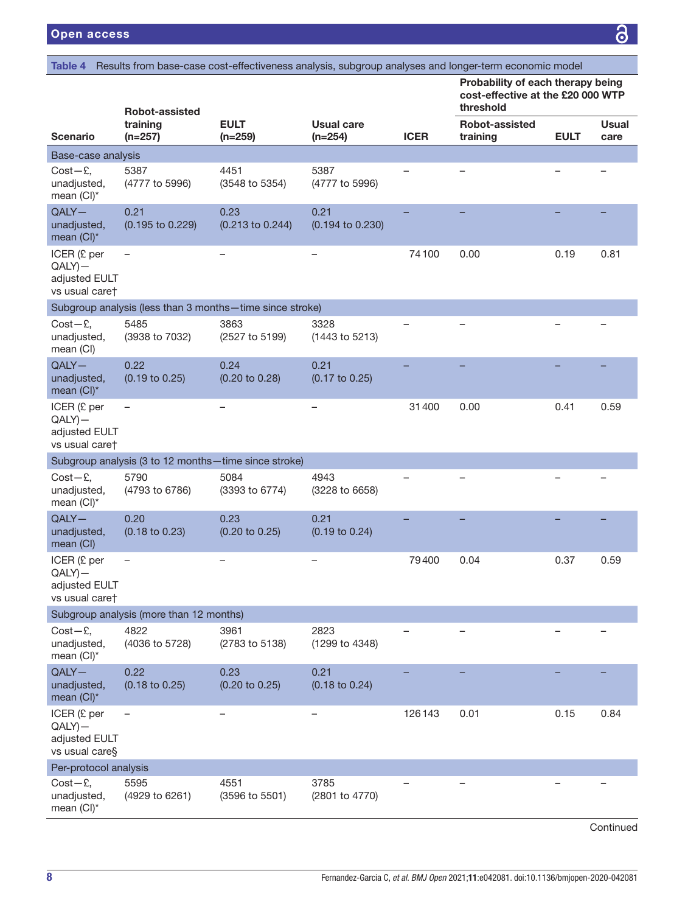<span id="page-7-0"></span>Table 4 Results from base-case cost-effectiveness analysis, subgroup analyses and longer-term economic model

| Probability of each therapy being |
|-----------------------------------|
| cost-effective at the £20 000 WTP |
| threshold                         |

|                                                              | Robot-assisted                                           |                                   |                                   |             | threshold                  |             |                      |  |
|--------------------------------------------------------------|----------------------------------------------------------|-----------------------------------|-----------------------------------|-------------|----------------------------|-------------|----------------------|--|
| <b>Scenario</b>                                              | training<br>$(n=257)$                                    | <b>EULT</b><br>$(n=259)$          | <b>Usual care</b><br>$(n=254)$    | <b>ICER</b> | Robot-assisted<br>training | <b>EULT</b> | <b>Usual</b><br>care |  |
| Base-case analysis                                           |                                                          |                                   |                                   |             |                            |             |                      |  |
| $Cost - E$ ,<br>unadjusted,<br>mean (CI)*                    | 5387<br>(4777 to 5996)                                   | 4451<br>(3548 to 5354)            | 5387<br>(4777 to 5996)            |             |                            |             |                      |  |
| $QALY -$<br>unadjusted,<br>mean (CI)*                        | 0.21<br>(0.195 to 0.229)                                 | 0.23<br>(0.213 to 0.244)          | 0.21<br>(0.194 to 0.230)          |             |                            |             |                      |  |
| ICER (£ per<br>$QALY$ )-<br>adjusted EULT<br>vs usual caret  |                                                          |                                   |                                   | 74100       | 0.00                       | 0.19        | 0.81                 |  |
|                                                              | Subgroup analysis (less than 3 months-time since stroke) |                                   |                                   |             |                            |             |                      |  |
| $Cost - E$ ,<br>unadjusted,<br>mean (CI)                     | 5485<br>(3938 to 7032)                                   | 3863<br>(2527 to 5199)            | 3328<br>(1443 to 5213)            |             |                            |             |                      |  |
| $QALY -$<br>unadjusted,<br>mean $(Cl)^*$                     | 0.22<br>$(0.19 \text{ to } 0.25)$                        | 0.24<br>$(0.20 \text{ to } 0.28)$ | 0.21<br>$(0.17 \text{ to } 0.25)$ |             |                            |             |                      |  |
| ICER (£ per<br>$QALY$ )-<br>adjusted EULT<br>vs usual caret  |                                                          |                                   |                                   | 31400       | 0.00                       | 0.41        | 0.59                 |  |
|                                                              | Subgroup analysis (3 to 12 months - time since stroke)   |                                   |                                   |             |                            |             |                      |  |
| $Cost - E$ ,<br>unadjusted,<br>mean (CI)*                    | 5790<br>(4793 to 6786)                                   | 5084<br>(3393 to 6774)            | 4943<br>(3228 to 6658)            |             | $\overline{\phantom{0}}$   |             |                      |  |
| $QALY -$<br>unadjusted,<br>mean (CI)                         | 0.20<br>$(0.18 \text{ to } 0.23)$                        | 0.23<br>$(0.20 \text{ to } 0.25)$ | 0.21<br>$(0.19 \text{ to } 0.24)$ |             |                            |             |                      |  |
| ICER (£ per<br>$QALY$ ) -<br>adjusted EULT<br>vs usual caret |                                                          |                                   |                                   | 79400       | 0.04                       | 0.37        | 0.59                 |  |
|                                                              | Subgroup analysis (more than 12 months)                  |                                   |                                   |             |                            |             |                      |  |
| $Cost - E$ ,<br>unadjusted,<br>mean (CI)*                    | 4822<br>(4036 to 5728)                                   | 3961<br>(2783 to 5138)            | 2823<br>(1299 to 4348)            |             |                            |             |                      |  |
| $QALY -$<br>unadjusted,<br>mean (CI)*                        | 0.22<br>$(0.18 \text{ to } 0.25)$                        | 0.23<br>$(0.20 \text{ to } 0.25)$ | 0.21<br>$(0.18 \text{ to } 0.24)$ |             |                            |             |                      |  |
| ICER (£ per<br>$QALY$ ) —<br>adjusted EULT<br>vs usual care§ |                                                          |                                   |                                   | 126143      | 0.01                       | 0.15        | 0.84                 |  |
| Per-protocol analysis                                        |                                                          |                                   |                                   |             |                            |             |                      |  |
| $Cost - E$ ,<br>unadjusted,<br>mean (CI)*                    | 5595<br>(4929 to 6261)                                   | 4551<br>(3596 to 5501)            | 3785<br>(2801 to 4770)            |             |                            |             |                      |  |

Continued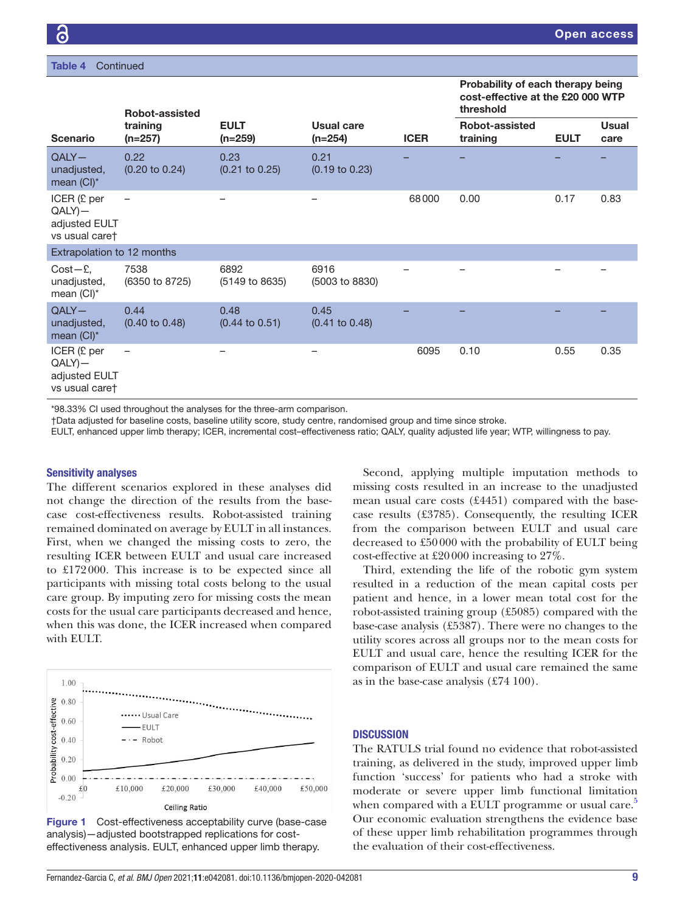| <b>Table 4</b> | Continued |  |
|----------------|-----------|--|
|                |           |  |

# Probability of each therapy being cost-effective at the £20 000 WTP threshold

|                                                              | <b>Robot-assisted</b>                                                 |                                   |                                   |             | threshold                         |             |                      |  |  |
|--------------------------------------------------------------|-----------------------------------------------------------------------|-----------------------------------|-----------------------------------|-------------|-----------------------------------|-------------|----------------------|--|--|
| <b>Scenario</b>                                              | training<br>$(n=257)$                                                 | <b>EULT</b><br>$(n=259)$          | <b>Usual care</b><br>$(n=254)$    | <b>ICER</b> | <b>Robot-assisted</b><br>training | <b>EULT</b> | <b>Usual</b><br>care |  |  |
| $QALY -$<br>unadjusted,<br>mean (CI)*                        | 0.22<br>$(0.20 \text{ to } 0.24)$                                     | 0.23<br>$(0.21$ to $0.25)$        | 0.21<br>$(0.19 \text{ to } 0.23)$ |             |                                   |             |                      |  |  |
| ICER (£ per<br>$QALY$ ) -<br>adjusted EULT<br>vs usual caret | $\overline{\phantom{m}}$                                              |                                   |                                   | 68000       | 0.00                              | 0.17        | 0.83                 |  |  |
| Extrapolation to 12 months                                   |                                                                       |                                   |                                   |             |                                   |             |                      |  |  |
| $Cost - E$<br>unadjusted,<br>mean (CI)*                      | 7538<br>(6350 to 8725)                                                | 6892<br>(5149 to 8635)            | 6916<br>(5003 to 8830)            |             |                                   |             |                      |  |  |
| $QALY -$<br>unadjusted,<br>mean (CI)*                        | 0.44<br>$(0.40 \text{ to } 0.48)$                                     | 0.48<br>$(0.44 \text{ to } 0.51)$ | 0.45<br>$(0.41 \text{ to } 0.48)$ |             |                                   |             |                      |  |  |
| ICER(E per)<br>$QALY$ ) —<br>adjusted EULT<br>vs usual caret | -                                                                     |                                   |                                   | 6095        | 0.10                              | 0.55        | 0.35                 |  |  |
|                                                              | *98.33% CI used throughout the analyses for the three-arm comparison. |                                   |                                   |             |                                   |             |                      |  |  |

†Data adjusted for baseline costs, baseline utility score, study centre, randomised group and time since stroke.

EULT, enhanced upper limb therapy; ICER, incremental cost–effectiveness ratio; QALY, quality adjusted life year; WTP, willingness to pay.

# Sensitivity analyses

The different scenarios explored in these analyses did not change the direction of the results from the basecase cost-effectiveness results. Robot-assisted training remained dominated on average by EULT in all instances. First, when we changed the missing costs to zero, the resulting ICER between EULT and usual care increased to £172000. This increase is to be expected since all participants with missing total costs belong to the usual care group. By imputing zero for missing costs the mean costs for the usual care participants decreased and hence, when this was done, the ICER increased when compared with EULT.



<span id="page-8-0"></span>Figure 1 Cost-effectiveness acceptability curve (base-case analysis)—adjusted bootstrapped replications for costeffectiveness analysis. EULT, enhanced upper limb therapy.

Second, applying multiple imputation methods to missing costs resulted in an increase to the unadjusted mean usual care costs (£4451) compared with the basecase results (£3785). Consequently, the resulting ICER from the comparison between EULT and usual care decreased to £50000 with the probability of EULT being cost-effective at £20000 increasing to 27%.

Third, extending the life of the robotic gym system resulted in a reduction of the mean capital costs per patient and hence, in a lower mean total cost for the robot-assisted training group (£5085) compared with the base-case analysis (£5387). There were no changes to the utility scores across all groups nor to the mean costs for EULT and usual care, hence the resulting ICER for the comparison of EULT and usual care remained the same as in the base-case analysis (£74 100).

# **DISCUSSION**

The RATULS trial found no evidence that robot-assisted training, as delivered in the study, improved upper limb function 'success' for patients who had a stroke with moderate or severe upper limb functional limitation when compared with a EULT programme or usual care.<sup>[5](#page-10-3)</sup> Our economic evaluation strengthens the evidence base of these upper limb rehabilitation programmes through the evaluation of their cost-effectiveness.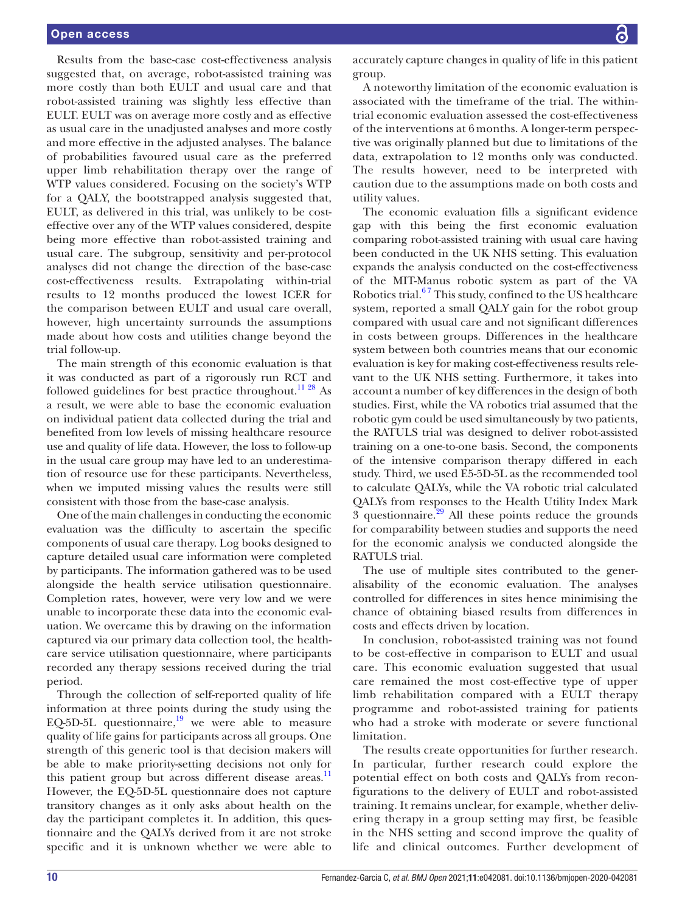Results from the base-case cost-effectiveness analysis suggested that, on average, robot-assisted training was more costly than both EULT and usual care and that robot-assisted training was slightly less effective than EULT. EULT was on average more costly and as effective as usual care in the unadjusted analyses and more costly and more effective in the adjusted analyses. The balance of probabilities favoured usual care as the preferred upper limb rehabilitation therapy over the range of WTP values considered. Focusing on the society's WTP for a QALY, the bootstrapped analysis suggested that, EULT, as delivered in this trial, was unlikely to be costeffective over any of the WTP values considered, despite being more effective than robot-assisted training and usual care. The subgroup, sensitivity and per-protocol analyses did not change the direction of the base-case cost-effectiveness results. Extrapolating within-trial results to 12 months produced the lowest ICER for the comparison between EULT and usual care overall, however, high uncertainty surrounds the assumptions made about how costs and utilities change beyond the trial follow-up.

The main strength of this economic evaluation is that it was conducted as part of a rigorously run RCT and followed guidelines for best practice throughout.<sup>11 28</sup> As a result, we were able to base the economic evaluation on individual patient data collected during the trial and benefited from low levels of missing healthcare resource use and quality of life data. However, the loss to follow-up in the usual care group may have led to an underestimation of resource use for these participants. Nevertheless, when we imputed missing values the results were still consistent with those from the base-case analysis.

One of the main challenges in conducting the economic evaluation was the difficulty to ascertain the specific components of usual care therapy. Log books designed to capture detailed usual care information were completed by participants. The information gathered was to be used alongside the health service utilisation questionnaire. Completion rates, however, were very low and we were unable to incorporate these data into the economic evaluation. We overcame this by drawing on the information captured via our primary data collection tool, the healthcare service utilisation questionnaire, where participants recorded any therapy sessions received during the trial period.

Through the collection of self-reported quality of life information at three points during the study using the EQ-5D-5L questionnaire, $\frac{19}{19}$  we were able to measure quality of life gains for participants across all groups. One strength of this generic tool is that decision makers will be able to make priority-setting decisions not only for this patient group but across different disease areas.<sup>11</sup> However, the EQ-5D-5L questionnaire does not capture transitory changes as it only asks about health on the day the participant completes it. In addition, this questionnaire and the QALYs derived from it are not stroke specific and it is unknown whether we were able to

accurately capture changes in quality of life in this patient group.

A noteworthy limitation of the economic evaluation is associated with the timeframe of the trial. The withintrial economic evaluation assessed the cost-effectiveness of the interventions at 6 months. A longer-term perspective was originally planned but due to limitations of the data, extrapolation to 12 months only was conducted. The results however, need to be interpreted with caution due to the assumptions made on both costs and utility values.

The economic evaluation fills a significant evidence gap with this being the first economic evaluation comparing robot-assisted training with usual care having been conducted in the UK NHS setting. This evaluation expands the analysis conducted on the cost-effectiveness of the MIT-Manus robotic system as part of the VA Robotics trial.<sup>67</sup> This study, confined to the US healthcare system, reported a small QALY gain for the robot group compared with usual care and not significant differences in costs between groups. Differences in the healthcare system between both countries means that our economic evaluation is key for making cost-effectiveness results relevant to the UK NHS setting. Furthermore, it takes into account a number of key differences in the design of both studies. First, while the VA robotics trial assumed that the robotic gym could be used simultaneously by two patients, the RATULS trial was designed to deliver robot-assisted training on a one-to-one basis. Second, the components of the intensive comparison therapy differed in each study. Third, we used E5-5D-5L as the recommended tool to calculate QALYs, while the VA robotic trial calculated QALYs from responses to the Health Utility Index Mark 3 questionnaire. $29$  All these points reduce the grounds for comparability between studies and supports the need for the economic analysis we conducted alongside the RATULS trial.

The use of multiple sites contributed to the generalisability of the economic evaluation. The analyses controlled for differences in sites hence minimising the chance of obtaining biased results from differences in costs and effects driven by location.

In conclusion, robot-assisted training was not found to be cost-effective in comparison to EULT and usual care. This economic evaluation suggested that usual care remained the most cost-effective type of upper limb rehabilitation compared with a EULT therapy programme and robot-assisted training for patients who had a stroke with moderate or severe functional limitation.

The results create opportunities for further research. In particular, further research could explore the potential effect on both costs and QALYs from reconfigurations to the delivery of EULT and robot-assisted training. It remains unclear, for example, whether delivering therapy in a group setting may first, be feasible in the NHS setting and second improve the quality of life and clinical outcomes. Further development of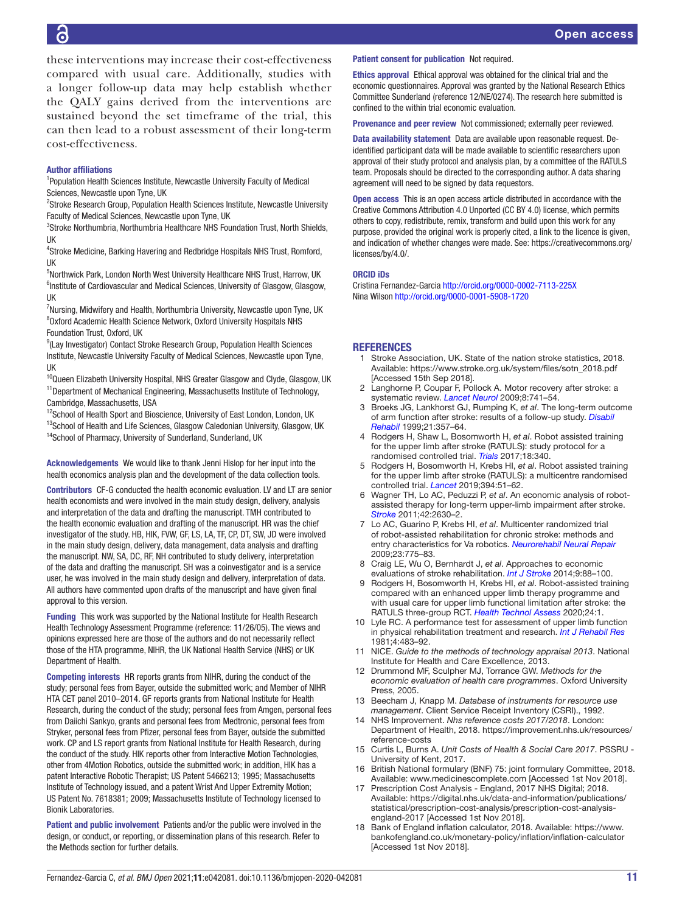these interventions may increase their cost-effectiveness compared with usual care. Additionally, studies with a longer follow-up data may help establish whether the QALY gains derived from the interventions are sustained beyond the set timeframe of the trial, this can then lead to a robust assessment of their long-term cost-effectiveness.

#### Author affiliations

<sup>1</sup>Population Health Sciences Institute, Newcastle University Faculty of Medical Sciences, Newcastle upon Tyne, UK

<sup>2</sup>Stroke Research Group, Population Health Sciences Institute, Newcastle University Faculty of Medical Sciences, Newcastle upon Tyne, UK

<sup>3</sup>Stroke Northumbria, Northumbria Healthcare NHS Foundation Trust, North Shields, UK

4 Stroke Medicine, Barking Havering and Redbridge Hospitals NHS Trust, Romford, UK

<sup>5</sup>Northwick Park, London North West University Healthcare NHS Trust, Harrow, UK <sup>6</sup>Institute of Cardiovascular and Medical Sciences, University of Glasgow, Glasgow, UK

<sup>7</sup>Nursing, Midwifery and Health, Northumbria University, Newcastle upon Tyne, UK 8 Oxford Academic Health Science Network, Oxford University Hospitals NHS Foundation Trust, Oxford, UK

<sup>9</sup>(Lay Investigator) Contact Stroke Research Group, Population Health Sciences Institute, Newcastle University Faculty of Medical Sciences, Newcastle upon Tyne, UK

<sup>10</sup>Queen Elizabeth University Hospital, NHS Greater Glasgow and Clyde, Glasgow, UK <sup>11</sup>Department of Mechanical Engineering, Massachusetts Institute of Technology, Cambridge, Massachusetts, USA

<sup>12</sup>School of Health Sport and Bioscience, University of East London, London, UK

<sup>13</sup>School of Health and Life Sciences, Glasgow Caledonian University, Glasgow, UK <sup>14</sup>School of Pharmacy, University of Sunderland, Sunderland, UK

Acknowledgements We would like to thank Jenni Hislop for her input into the health economics analysis plan and the development of the data collection tools.

Contributors CF-G conducted the health economic evaluation. LV and LT are senior health economists and were involved in the main study design, delivery, analysis and interpretation of the data and drafting the manuscript. TMH contributed to the health economic evaluation and drafting of the manuscript. HR was the chief investigator of the study. HB, HIK, FVW, GF, LS, LA, TF, CP, DT, SW, JD were involved in the main study design, delivery, data management, data analysis and drafting the manuscript. NW, SA, DC, RF, NH contributed to study delivery, interpretation of the data and drafting the manuscript. SH was a coinvestigator and is a service user, he was involved in the main study design and delivery, interpretation of data. All authors have commented upon drafts of the manuscript and have given final approval to this version.

Funding This work was supported by the National Institute for Health Research Health Technology Assessment Programme (reference: 11/26/05). The views and opinions expressed here are those of the authors and do not necessarily reflect those of the HTA programme, NIHR, the UK National Health Service (NHS) or UK Department of Health.

Competing interests HR reports grants from NIHR, during the conduct of the study; personal fees from Bayer, outside the submitted work; and Member of NIHR HTA CET panel 2010–2014. GF reports grants from National Institute for Health Research, during the conduct of the study; personal fees from Amgen, personal fees from Daiichi Sankyo, grants and personal fees from Medtronic, personal fees from Stryker, personal fees from Pfizer, personal fees from Bayer, outside the submitted work. CP and LS report grants from National Institute for Health Research, during the conduct of the study. HIK reports other from Interactive Motion Technologies, other from 4Motion Robotics, outside the submitted work; in addition, HIK has a patent Interactive Robotic Therapist; US Patent 5466213; 1995; Massachusetts Institute of Technology issued, and a patent Wrist And Upper Extremity Motion; US Patent No. 7618381; 2009; Massachusetts Institute of Technology licensed to Bionik Laboratories.

Patient and public involvement Patients and/or the public were involved in the design, or conduct, or reporting, or dissemination plans of this research. Refer to the Methods section for further details.

#### Patient consent for publication Not required.

Ethics approval Ethical approval was obtained for the clinical trial and the economic questionnaires. Approval was granted by the National Research Ethics Committee Sunderland (reference 12/NE/0274). The research here submitted is confined to the within trial economic evaluation.

Provenance and peer review Not commissioned; externally peer reviewed.

Data availability statement Data are available upon reasonable request. Deidentified participant data will be made available to scientific researchers upon approval of their study protocol and analysis plan, by a committee of the RATULS team. Proposals should be directed to the corresponding author. A data sharing agreement will need to be signed by data requestors.

Open access This is an open access article distributed in accordance with the Creative Commons Attribution 4.0 Unported (CC BY 4.0) license, which permits others to copy, redistribute, remix, transform and build upon this work for any purpose, provided the original work is properly cited, a link to the licence is given, and indication of whether changes were made. See: [https://creativecommons.org/](https://creativecommons.org/licenses/by/4.0/) [licenses/by/4.0/](https://creativecommons.org/licenses/by/4.0/).

#### ORCID iDs

Cristina Fernandez-Garcia<http://orcid.org/0000-0002-7113-225X> Nina Wilson <http://orcid.org/0000-0001-5908-1720>

#### **REFERENCES**

- <span id="page-10-0"></span>1 Stroke Association, UK. State of the nation stroke statistics, 2018. Available: [https://www.stroke.org.uk/system/files/sotn\\_2018.pdf](https://www.stroke.org.uk/system/files/sotn_2018.pdf)  [Accessed 15th Sep 2018].
- <span id="page-10-1"></span>2 Langhorne P, Coupar F, Pollock A. Motor recovery after stroke: a systematic review. *[Lancet Neurol](http://dx.doi.org/10.1016/S1474-4422(09)70150-4)* 2009;8:741–54.
- 3 Broeks JG, Lankhorst GJ, Rumping K, *et al*. The long-term outcome of arm function after stroke: results of a follow-up study. *[Disabil](http://dx.doi.org/10.1080/096382899297459)  [Rehabil](http://dx.doi.org/10.1080/096382899297459)* 1999;21:357–64.
- <span id="page-10-2"></span>4 Rodgers H, Shaw L, Bosomworth H, *et al*. Robot assisted training for the upper limb after stroke (RATULS): study protocol for a randomised controlled trial. *[Trials](http://dx.doi.org/10.1186/s13063-017-2083-4)* 2017;18:340.
- <span id="page-10-3"></span>5 Rodgers H, Bosomworth H, Krebs HI, *et al*. Robot assisted training for the upper limb after stroke (RATULS): a multicentre randomised controlled trial. *[Lancet](http://dx.doi.org/10.1016/S0140-6736(19)31055-4)* 2019;394:51–62.
- <span id="page-10-4"></span>6 Wagner TH, Lo AC, Peduzzi P, *et al*. An economic analysis of robotassisted therapy for long-term upper-limb impairment after stroke. *[Stroke](http://dx.doi.org/10.1161/STROKEAHA.110.606442)* 2011;42:2630–2.
- 7 Lo AC, Guarino P, Krebs HI, *et al*. Multicenter randomized trial of robot-assisted rehabilitation for chronic stroke: methods and entry characteristics for Va robotics. *[Neurorehabil Neural Repair](http://dx.doi.org/10.1177/1545968309338195)* 2009;23:775–83.
- <span id="page-10-5"></span>8 Craig LE, Wu O, Bernhardt J, *et al*. Approaches to economic evaluations of stroke rehabilitation. *[Int J Stroke](http://dx.doi.org/10.1111/ijs.12041)* 2014;9:88–100.
- <span id="page-10-6"></span>9 Rodgers H, Bosomworth H, Krebs HI, *et al*. Robot-assisted training compared with an enhanced upper limb therapy programme and with usual care for upper limb functional limitation after stroke: the RATULS three-group RCT. *[Health Technol Assess](http://dx.doi.org/10.3310/hta24540)* 2020;24:1.
- <span id="page-10-7"></span>10 Lyle RC. A performance test for assessment of upper limb function in physical rehabilitation treatment and research. *[Int J Rehabil Res](http://dx.doi.org/10.1097/00004356-198112000-00001)* 1981;4:483–92.
- <span id="page-10-8"></span>11 NICE. *Guide to the methods of technology appraisal 2013*. National Institute for Health and Care Excellence, 2013.
- <span id="page-10-9"></span>12 Drummond MF, Sculpher MJ, Torrance GW. *Methods for the economic evaluation of health care programmes*. Oxford University Press, 2005.
- <span id="page-10-10"></span>13 Beecham J, Knapp M. *Database of instruments for resource use management*. Client Service Receipt Inventory (CSRI)., 1992.
- <span id="page-10-11"></span>14 NHS Improvement. *Nhs reference costs 2017/2018*. London: Department of Health, 2018. [https://improvement.nhs.uk/resources/](https://improvement.nhs.uk/resources/reference-costs) [reference-costs](https://improvement.nhs.uk/resources/reference-costs)
- <span id="page-10-12"></span>15 Curtis L, Burns A. *Unit Costs of Health & Social Care 2017*. PSSRU - University of Kent, 2017.
- <span id="page-10-13"></span>16 British National formulary (BNF) 75: joint formulary Committee, 2018. Available: <www.medicinescomplete.com>[Accessed 1st Nov 2018].
- <span id="page-10-14"></span>17 Prescription Cost Analysis - England, 2017 NHS Digital; 2018. Available: [https://digital.nhs.uk/data-and-information/publications/](https://digital.nhs.uk/data-and-information/publications/statistical/prescription-cost-analysis/prescription-cost-analysis-england-2017) [statistical/prescription-cost-analysis/prescription-cost-analysis](https://digital.nhs.uk/data-and-information/publications/statistical/prescription-cost-analysis/prescription-cost-analysis-england-2017)[england-2017](https://digital.nhs.uk/data-and-information/publications/statistical/prescription-cost-analysis/prescription-cost-analysis-england-2017) [Accessed 1st Nov 2018].
- <span id="page-10-15"></span>18 Bank of England inflation calculator, 2018. Available: [https://www.](https://www.bankofengland.co.uk/monetary-policy/inflation/inflation-calculator) [bankofengland.co.uk/monetary-policy/inflation/inflation-calculator](https://www.bankofengland.co.uk/monetary-policy/inflation/inflation-calculator) [Accessed 1st Nov 2018].